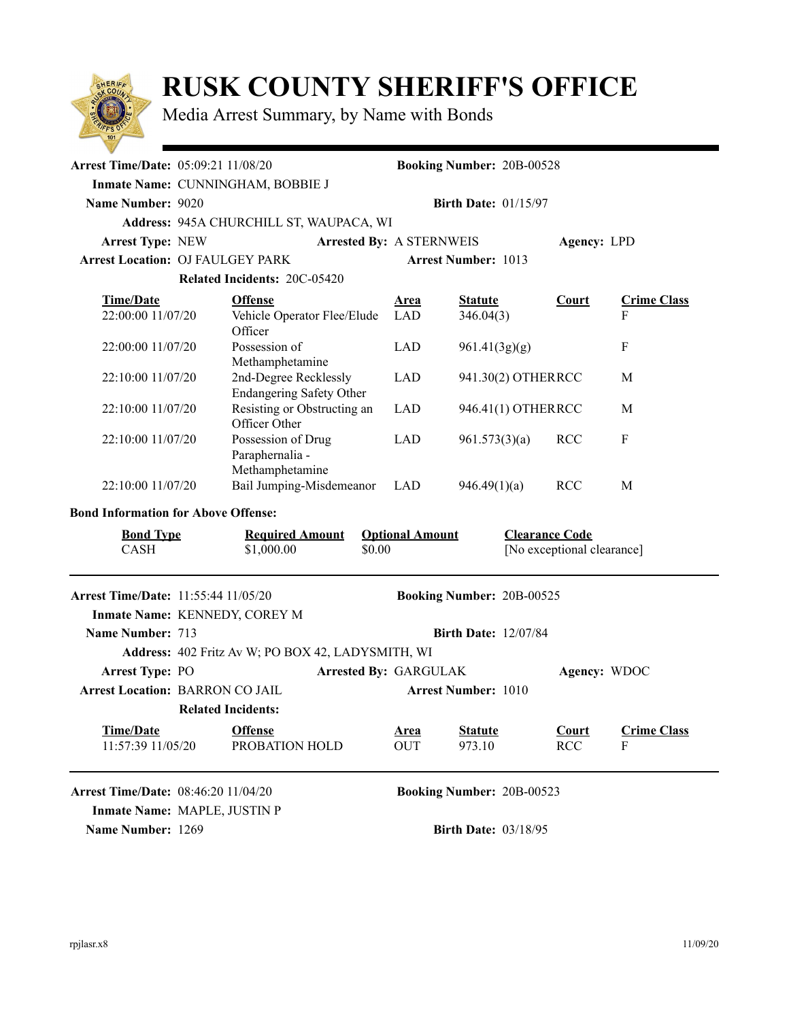

## **RUSK COUNTY SHERIFF'S OFFICE**

Media Arrest Summary, by Name with Bonds

| <b>Arrest Time/Date: 05:09:21 11/08/20</b>                                        | <b>Booking Number: 20B-00528</b>                                     |                                                                               |                                 |                           |                                  |                            |                         |  |
|-----------------------------------------------------------------------------------|----------------------------------------------------------------------|-------------------------------------------------------------------------------|---------------------------------|---------------------------|----------------------------------|----------------------------|-------------------------|--|
|                                                                                   | Inmate Name: CUNNINGHAM, BOBBIE J                                    |                                                                               |                                 |                           |                                  |                            |                         |  |
| <b>Name Number: 9020</b>                                                          | <b>Birth Date: 01/15/97</b>                                          |                                                                               |                                 |                           |                                  |                            |                         |  |
|                                                                                   | Address: 945A CHURCHILL ST, WAUPACA, WI                              |                                                                               |                                 |                           |                                  |                            |                         |  |
| <b>Arrest Type: NEW</b>                                                           |                                                                      |                                                                               | <b>Arrested By: A STERNWEIS</b> |                           | Agency: LPD                      |                            |                         |  |
| <b>Arrest Location: OJ FAULGEY PARK</b>                                           |                                                                      |                                                                               |                                 |                           | <b>Arrest Number: 1013</b>       |                            |                         |  |
|                                                                                   |                                                                      | <b>Related Incidents: 20C-05420</b>                                           |                                 |                           |                                  |                            |                         |  |
| <b>Time/Date</b><br>22:00:00 11/07/20                                             |                                                                      | <b>Offense</b><br>Vehicle Operator Flee/Elude<br>Officer                      |                                 | <u>Area</u><br>LAD        | <b>Statute</b><br>346.04(3)      | <b>Court</b>               | <b>Crime Class</b><br>F |  |
| 22:00:00 11/07/20                                                                 |                                                                      | Possession of<br>Methamphetamine                                              |                                 | <b>LAD</b>                | 961.41(3g)(g)                    |                            | F                       |  |
| 22:10:00 11/07/20                                                                 | 2nd-Degree Recklessly<br><b>Endangering Safety Other</b>             |                                                                               | <b>LAD</b>                      |                           | 941.30(2) OTHERRCC               |                            |                         |  |
| 22:10:00 11/07/20                                                                 |                                                                      | Resisting or Obstructing an<br>Officer Other                                  |                                 | <b>LAD</b>                | 946.41(1) OTHERRCC               |                            | M                       |  |
| 22:10:00 11/07/20                                                                 | Possession of Drug<br>Paraphernalia -<br>Methamphetamine             |                                                                               | LAD<br>961.573(3)(a)            |                           | <b>RCC</b>                       | ${\bf F}$                  |                         |  |
| 22:10:00 11/07/20                                                                 |                                                                      | Bail Jumping-Misdemeanor                                                      |                                 | <b>LAD</b>                | 946.49(1)(a)                     | <b>RCC</b>                 | M                       |  |
| <b>Bond Information for Above Offense:</b>                                        |                                                                      |                                                                               |                                 |                           |                                  |                            |                         |  |
| <b>Required Amount</b><br><b>Bond Type</b><br><b>CASH</b><br>\$0.00<br>\$1,000.00 |                                                                      | <b>Clearance Code</b><br><b>Optional Amount</b><br>[No exceptional clearance] |                                 |                           |                                  |                            |                         |  |
| Arrest Time/Date: 11:55:44 11/05/20                                               |                                                                      |                                                                               |                                 |                           | <b>Booking Number: 20B-00525</b> |                            |                         |  |
| Inmate Name: KENNEDY, COREY M                                                     |                                                                      |                                                                               |                                 |                           |                                  |                            |                         |  |
| Name Number: 713                                                                  | <b>Birth Date: 12/07/84</b>                                          |                                                                               |                                 |                           |                                  |                            |                         |  |
|                                                                                   |                                                                      | Address: 402 Fritz Av W; PO BOX 42, LADYSMITH, WI                             |                                 |                           |                                  |                            |                         |  |
| <b>Arrest Type: PO</b>                                                            | <b>Arrested By: GARGULAK</b><br>Agency: WDOC                         |                                                                               |                                 |                           |                                  |                            |                         |  |
|                                                                                   | <b>Arrest Location: BARRON CO JAIL</b><br><b>Arrest Number: 1010</b> |                                                                               |                                 |                           |                                  |                            |                         |  |
|                                                                                   | <b>Related Incidents:</b>                                            |                                                                               |                                 |                           |                                  |                            |                         |  |
| <b>Time/Date</b><br>11:57:39 11/05/20                                             |                                                                      | <b>Offense</b><br>PROBATION HOLD                                              |                                 | <u>Area</u><br><b>OUT</b> | <b>Statute</b><br>973.10         | <b>Court</b><br><b>RCC</b> | <b>Crime Class</b><br>F |  |
| <b>Arrest Time/Date: 08:46:20 11/04/20</b>                                        |                                                                      |                                                                               |                                 |                           | <b>Booking Number: 20B-00523</b> |                            |                         |  |
| Name Number: 1269                                                                 | Inmate Name: MAPLE, JUSTIN P<br><b>Birth Date: 03/18/95</b>          |                                                                               |                                 |                           |                                  |                            |                         |  |
|                                                                                   |                                                                      |                                                                               |                                 |                           |                                  |                            |                         |  |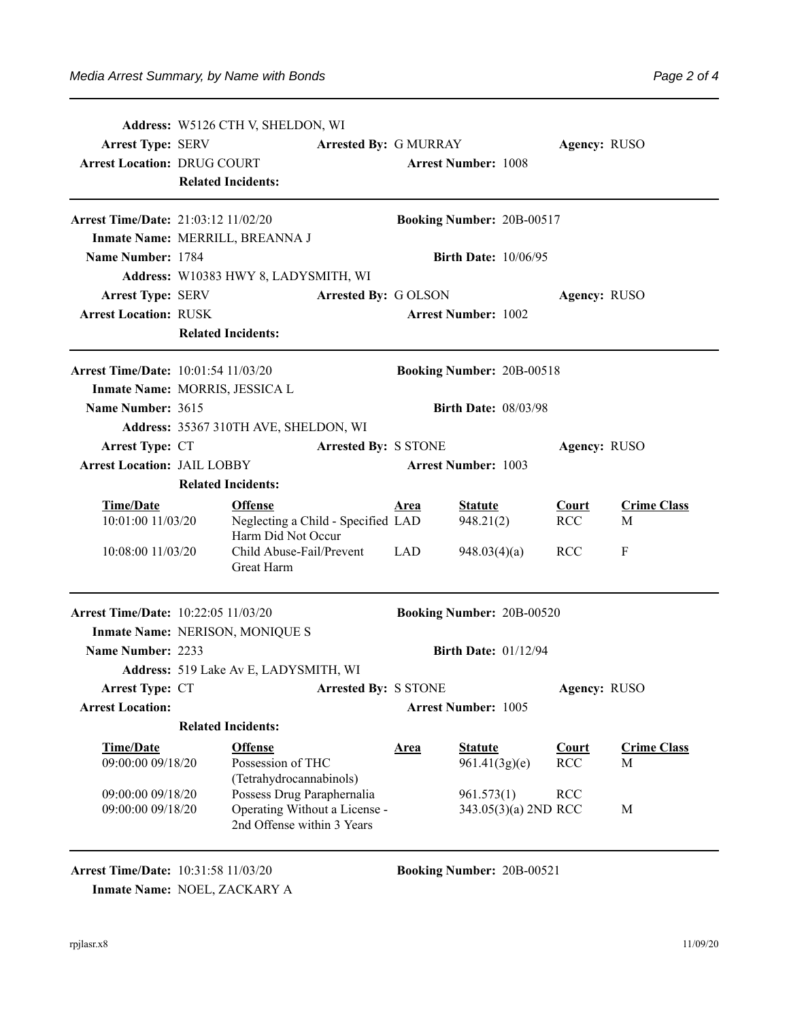| <b>Arrest Type: SERV</b><br><b>Arrest Location: DRUG COURT</b><br>Arrest Time/Date: 21:03:12 11/02/20<br>Name Number: 1784 | Address: W5126 CTH V, SHELDON, WI<br><b>Arrested By: G MURRAY</b><br><b>Related Incidents:</b><br>Inmate Name: MERRILL, BREANNA J<br>Address: W10383 HWY 8, LADYSMITH, WI |                                                                                           | <b>Arrest Number: 1008</b><br>Booking Number: 20B-00517<br><b>Birth Date: 10/06/95</b> |                                  |                                    | Agency: RUSO |                            |                         |
|----------------------------------------------------------------------------------------------------------------------------|---------------------------------------------------------------------------------------------------------------------------------------------------------------------------|-------------------------------------------------------------------------------------------|----------------------------------------------------------------------------------------|----------------------------------|------------------------------------|--------------|----------------------------|-------------------------|
| <b>Arrest Type: SERV</b><br><b>Arrest Location: RUSK</b>                                                                   | Arrested By: GOLSON                                                                                                                                                       |                                                                                           |                                                                                        | <b>Arrest Number: 1002</b>       | Agency: RUSO                       |              |                            |                         |
|                                                                                                                            | <b>Related Incidents:</b>                                                                                                                                                 |                                                                                           |                                                                                        |                                  |                                    |              |                            |                         |
| <b>Arrest Time/Date:</b> 10:01:54 11/03/20<br>Inmate Name: MORRIS, JESSICA L                                               |                                                                                                                                                                           |                                                                                           |                                                                                        | <b>Booking Number: 20B-00518</b> |                                    |              |                            |                         |
| <b>Name Number: 3615</b>                                                                                                   |                                                                                                                                                                           |                                                                                           |                                                                                        |                                  | <b>Birth Date: 08/03/98</b>        |              |                            |                         |
|                                                                                                                            |                                                                                                                                                                           | Address: 35367 310TH AVE, SHELDON, WI                                                     |                                                                                        |                                  |                                    |              |                            |                         |
| <b>Arrest Type: CT</b>                                                                                                     |                                                                                                                                                                           |                                                                                           | <b>Arrested By: S STONE</b>                                                            |                                  |                                    |              | Agency: RUSO               |                         |
| <b>Arrest Location: JAIL LOBBY</b>                                                                                         |                                                                                                                                                                           |                                                                                           |                                                                                        |                                  | <b>Arrest Number: 1003</b>         |              |                            |                         |
|                                                                                                                            | <b>Related Incidents:</b>                                                                                                                                                 |                                                                                           |                                                                                        |                                  |                                    |              |                            |                         |
| <b>Time/Date</b><br>10:01:00 11/03/20                                                                                      |                                                                                                                                                                           | <b>Offense</b><br>Neglecting a Child - Specified LAD<br>Harm Did Not Occur                |                                                                                        | <b>Area</b>                      | <b>Statute</b><br>948.21(2)        |              | <b>Court</b><br><b>RCC</b> | <b>Crime Class</b><br>M |
| 10:08:00 11/03/20                                                                                                          |                                                                                                                                                                           | Child Abuse-Fail/Prevent<br>Great Harm                                                    |                                                                                        | <b>LAD</b>                       | 948.03(4)(a)                       |              | <b>RCC</b>                 | F                       |
| Arrest Time/Date: 10:22:05 11/03/20                                                                                        |                                                                                                                                                                           |                                                                                           |                                                                                        | <b>Booking Number: 20B-00520</b> |                                    |              |                            |                         |
| Inmate Name: NERISON, MONIQUE S                                                                                            |                                                                                                                                                                           |                                                                                           |                                                                                        |                                  |                                    |              |                            |                         |
| <b>Name Number: 2233</b>                                                                                                   |                                                                                                                                                                           |                                                                                           |                                                                                        | <b>Birth Date: 01/12/94</b>      |                                    |              |                            |                         |
|                                                                                                                            |                                                                                                                                                                           | Address: 519 Lake Av E, LADYSMITH, WI                                                     |                                                                                        |                                  |                                    |              |                            |                         |
| <b>Arrest Type: CT</b><br><b>Arrested By: S STONE</b><br><b>Arrest Location:</b>                                           |                                                                                                                                                                           | Agency: RUSO<br><b>Arrest Number: 1005</b>                                                |                                                                                        |                                  |                                    |              |                            |                         |
|                                                                                                                            | <b>Related Incidents:</b>                                                                                                                                                 |                                                                                           |                                                                                        |                                  |                                    |              |                            |                         |
| <b>Time/Date</b>                                                                                                           |                                                                                                                                                                           | <b>Offense</b>                                                                            |                                                                                        | <b>Area</b>                      | <b>Statute</b>                     |              | Court                      | <b>Crime Class</b>      |
| 09:00:00 09/18/20                                                                                                          |                                                                                                                                                                           | Possession of THC<br>(Tetrahydrocannabinols)                                              |                                                                                        |                                  | 961.41(3g)(e)                      |              | <b>RCC</b>                 | M                       |
| 09:00:00 09/18/20<br>09:00:00 09/18/20                                                                                     |                                                                                                                                                                           | Possess Drug Paraphernalia<br>Operating Without a License -<br>2nd Offense within 3 Years |                                                                                        |                                  | 961.573(1)<br>343.05(3)(a) 2ND RCC |              | <b>RCC</b>                 | M                       |

**Arrest Time/Date:** 10:31:58 11/03/20 **Booking Number:** 20B-00521

**Inmate Name:** NOEL, ZACKARY A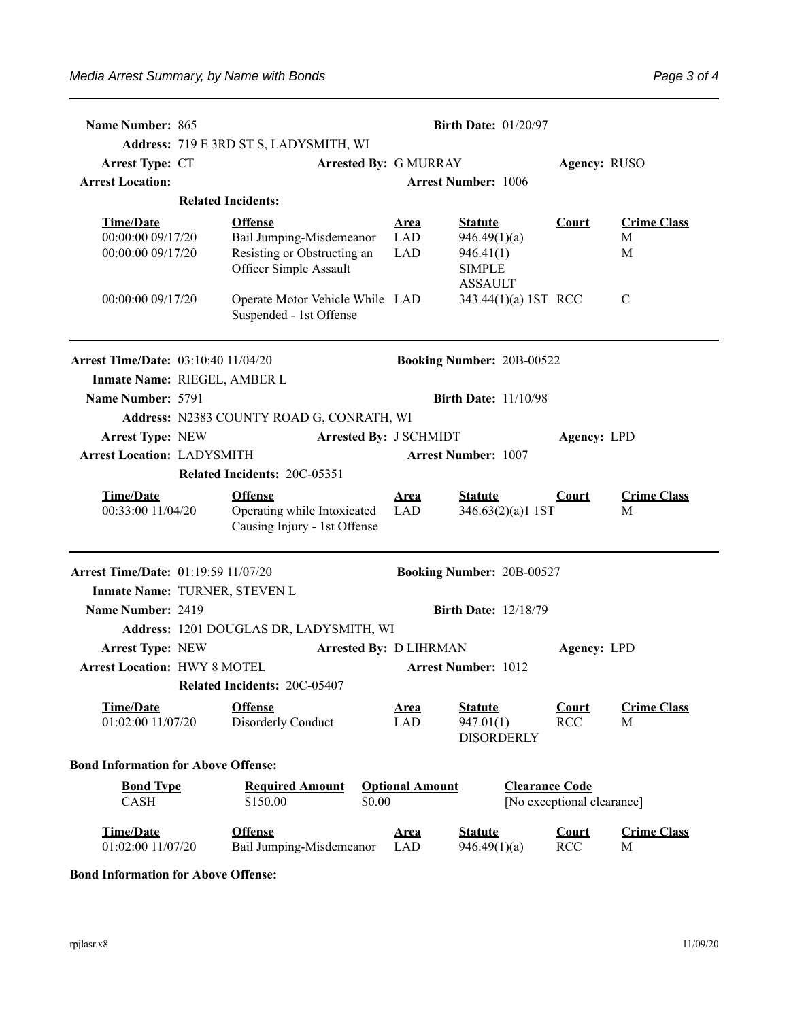Page 3 of 4

| Name Number: 865                                                        | <b>Birth Date: 01/20/97</b>                                                   |                                  |                                                  |                                                     |                         |  |  |  |
|-------------------------------------------------------------------------|-------------------------------------------------------------------------------|----------------------------------|--------------------------------------------------|-----------------------------------------------------|-------------------------|--|--|--|
|                                                                         | Address: 719 E 3RD ST S, LADYSMITH, WI                                        |                                  |                                                  |                                                     |                         |  |  |  |
| <b>Arrest Type: CT</b>                                                  |                                                                               | <b>Arrested By: G MURRAY</b>     |                                                  | Agency: RUSO                                        |                         |  |  |  |
| <b>Arrest Location:</b>                                                 |                                                                               |                                  | <b>Arrest Number: 1006</b>                       |                                                     |                         |  |  |  |
|                                                                         | <b>Related Incidents:</b>                                                     |                                  |                                                  |                                                     |                         |  |  |  |
| Time/Date<br>00:00:00 09/17/20                                          | <b>Offense</b><br>Bail Jumping-Misdemeanor                                    | <b>Area</b><br><b>LAD</b>        | <b>Statute</b><br>946.49(1)(a)                   | <b>Court</b>                                        | <b>Crime Class</b><br>М |  |  |  |
| 00:00:00 09/17/20                                                       | Resisting or Obstructing an<br>Officer Simple Assault                         | <b>LAD</b>                       | 946.41(1)<br><b>SIMPLE</b><br><b>ASSAULT</b>     |                                                     | M                       |  |  |  |
| 00:00:00 09/17/20                                                       | Operate Motor Vehicle While LAD<br>Suspended - 1st Offense                    |                                  | 343.44(1)(a) 1ST RCC                             |                                                     | $\mathcal{C}$           |  |  |  |
| <b>Arrest Time/Date: 03:10:40 11/04/20</b>                              |                                                                               |                                  | <b>Booking Number: 20B-00522</b>                 |                                                     |                         |  |  |  |
|                                                                         | Inmate Name: RIEGEL, AMBER L                                                  |                                  |                                                  |                                                     |                         |  |  |  |
| Name Number: 5791                                                       |                                                                               |                                  | <b>Birth Date: 11/10/98</b>                      |                                                     |                         |  |  |  |
|                                                                         | Address: N2383 COUNTY ROAD G, CONRATH, WI                                     |                                  |                                                  |                                                     |                         |  |  |  |
| <b>Arrest Type: NEW</b>                                                 |                                                                               | <b>Arrested By: J SCHMIDT</b>    |                                                  | <b>Agency: LPD</b>                                  |                         |  |  |  |
| <b>Arrest Location: LADYSMITH</b>                                       |                                                                               |                                  | <b>Arrest Number: 1007</b>                       |                                                     |                         |  |  |  |
| Related Incidents: 20C-05351                                            |                                                                               |                                  |                                                  |                                                     |                         |  |  |  |
| <b>Time/Date</b><br>00:33:00 11/04/20                                   | <b>Offense</b><br>Operating while Intoxicated<br>Causing Injury - 1st Offense | <b>Area</b><br>LAD               | <b>Statute</b><br>346.63(2)(a)1 1ST              | Court                                               | <b>Crime Class</b><br>М |  |  |  |
| Arrest Time/Date: 01:19:59 11/07/20                                     |                                                                               |                                  | Booking Number: 20B-00527                        |                                                     |                         |  |  |  |
|                                                                         | Inmate Name: TURNER, STEVEN L                                                 |                                  |                                                  |                                                     |                         |  |  |  |
| Name Number: 2419                                                       |                                                                               |                                  | <b>Birth Date: 12/18/79</b>                      |                                                     |                         |  |  |  |
|                                                                         | Address: 1201 DOUGLAS DR, LADYSMITH, WI                                       |                                  |                                                  |                                                     |                         |  |  |  |
| <b>Arrest Type: NEW</b><br><b>Arrested By: D LIHRMAN</b><br>Agency: LPD |                                                                               |                                  |                                                  |                                                     |                         |  |  |  |
| <b>Arrest Location: HWY 8 MOTEL</b>                                     |                                                                               |                                  | <b>Arrest Number: 1012</b>                       |                                                     |                         |  |  |  |
|                                                                         | Related Incidents: 20C-05407                                                  |                                  |                                                  |                                                     |                         |  |  |  |
| Time/Date<br>01:02:00 11/07/20                                          | <b>Offense</b><br>Disorderly Conduct                                          | <u>Area</u><br><b>LAD</b>        | <b>Statute</b><br>947.01(1)<br><b>DISORDERLY</b> | Court<br><b>RCC</b>                                 | <b>Crime Class</b><br>M |  |  |  |
| <b>Bond Information for Above Offense:</b>                              |                                                                               |                                  |                                                  |                                                     |                         |  |  |  |
| <b>Bond Type</b><br><b>CASH</b>                                         | <b>Required Amount</b><br>\$150.00                                            | <b>Optional Amount</b><br>\$0.00 |                                                  | <b>Clearance Code</b><br>[No exceptional clearance] |                         |  |  |  |
| <b>Time/Date</b><br>01:02:00 11/07/20                                   | <b>Offense</b><br>Bail Jumping-Misdemeanor                                    | <b>Area</b><br><b>LAD</b>        | <b>Statute</b><br>946.49(1)(a)                   | <b>Court</b><br>RCC                                 | <b>Crime Class</b><br>M |  |  |  |

## **Bond Information for Above Offense:**